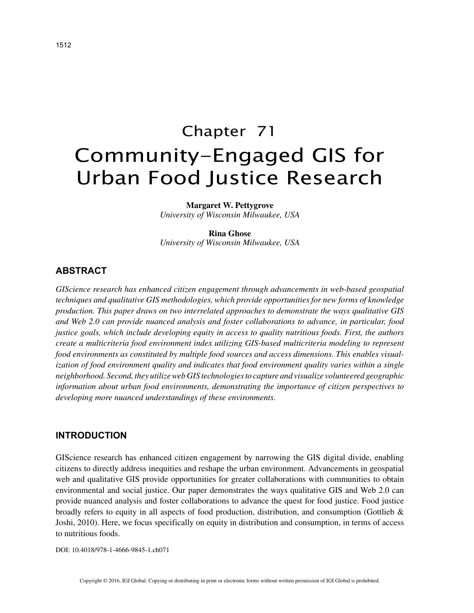# Chapter 71 Community-Engaged GIS for Urban Food Justice Research

**Margaret W. Pettygrove**

*University of Wisconsin Milwaukee, USA*

#### **Rina Ghose**

*University of Wisconsin Milwaukee, USA*

## **ABSTRACT**

*GIScience research has enhanced citizen engagement through advancements in web-based geospatial techniques and qualitative GIS methodologies, which provide opportunities for new forms of knowledge production. This paper draws on two interrelated approaches to demonstrate the ways qualitative GIS and Web 2.0 can provide nuanced analysis and foster collaborations to advance, in particular, food justice goals, which include developing equity in access to quality nutritious foods. First, the authors create a multicriteria food environment index utilizing GIS-based multicriteria modeling to represent food environments as constituted by multiple food sources and access dimensions. This enables visualization of food environment quality and indicates that food environment quality varies within a single neighborhood. Second, they utilize web GIS technologies to capture and visualize volunteered geographic information about urban food environments, demonstrating the importance of citizen perspectives to developing more nuanced understandings of these environments.*

## **INTRODUCTION**

GIScience research has enhanced citizen engagement by narrowing the GIS digital divide, enabling citizens to directly address inequities and reshape the urban environment. Advancements in geospatial web and qualitative GIS provide opportunities for greater collaborations with communities to obtain environmental and social justice. Our paper demonstrates the ways qualitative GIS and Web 2.0 can provide nuanced analysis and foster collaborations to advance the quest for food justice. Food justice broadly refers to equity in all aspects of food production, distribution, and consumption (Gottlieb & Joshi, 2010). Here, we focus specifically on equity in distribution and consumption, in terms of access to nutritious foods.

DOI: 10.4018/978-1-4666-9845-1.ch071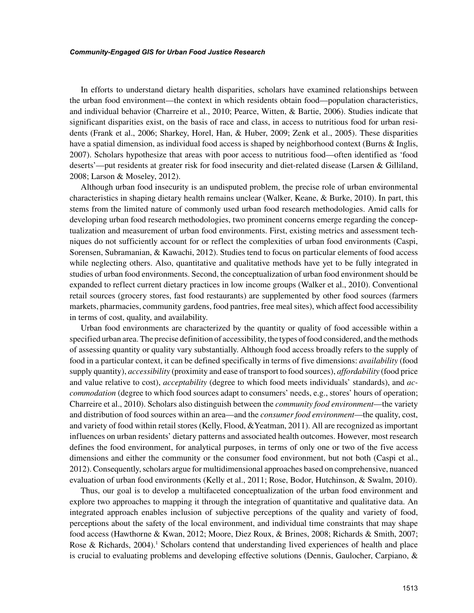#### *Community-Engaged GIS for Urban Food Justice Research*

In efforts to understand dietary health disparities, scholars have examined relationships between the urban food environment—the context in which residents obtain food—population characteristics, and individual behavior (Charreire et al., 2010; Pearce, Witten, & Bartie, 2006). Studies indicate that significant disparities exist, on the basis of race and class, in access to nutritious food for urban residents (Frank et al., 2006; Sharkey, Horel, Han, & Huber, 2009; Zenk et al., 2005). These disparities have a spatial dimension, as individual food access is shaped by neighborhood context (Burns & Inglis, 2007). Scholars hypothesize that areas with poor access to nutritious food—often identified as 'food deserts'—put residents at greater risk for food insecurity and diet-related disease (Larsen & Gilliland, 2008; Larson & Moseley, 2012).

Although urban food insecurity is an undisputed problem, the precise role of urban environmental characteristics in shaping dietary health remains unclear (Walker, Keane, & Burke, 2010). In part, this stems from the limited nature of commonly used urban food research methodologies. Amid calls for developing urban food research methodologies, two prominent concerns emerge regarding the conceptualization and measurement of urban food environments. First, existing metrics and assessment techniques do not sufficiently account for or reflect the complexities of urban food environments (Caspi, Sorensen, Subramanian, & Kawachi, 2012). Studies tend to focus on particular elements of food access while neglecting others. Also, quantitative and qualitative methods have yet to be fully integrated in studies of urban food environments. Second, the conceptualization of urban food environment should be expanded to reflect current dietary practices in low income groups (Walker et al., 2010). Conventional retail sources (grocery stores, fast food restaurants) are supplemented by other food sources (farmers markets, pharmacies, community gardens, food pantries, free meal sites), which affect food accessibility in terms of cost, quality, and availability.

Urban food environments are characterized by the quantity or quality of food accessible within a specified urban area. The precise definition of accessibility, the types of food considered, and the methods of assessing quantity or quality vary substantially. Although food access broadly refers to the supply of food in a particular context, it can be defined specifically in terms of five dimensions: *availability* (food supply quantity), *accessibility* (proximity and ease of transport to food sources), *affordability* (food price and value relative to cost), *acceptability* (degree to which food meets individuals' standards), and *accommodation* (degree to which food sources adapt to consumers' needs, e.g., stores' hours of operation; Charreire et al., 2010). Scholars also distinguish between the *community food environment*—the variety and distribution of food sources within an area—and the *consumer food environment*—the quality, cost, and variety of food within retail stores (Kelly, Flood, &Yeatman, 2011). All are recognized as important influences on urban residents' dietary patterns and associated health outcomes. However, most research defines the food environment, for analytical purposes, in terms of only one or two of the five access dimensions and either the community or the consumer food environment, but not both (Caspi et al., 2012). Consequently, scholars argue for multidimensional approaches based on comprehensive, nuanced evaluation of urban food environments (Kelly et al., 2011; Rose, Bodor, Hutchinson, & Swalm, 2010).

Thus, our goal is to develop a multifaceted conceptualization of the urban food environment and explore two approaches to mapping it through the integration of quantitative and qualitative data. An integrated approach enables inclusion of subjective perceptions of the quality and variety of food, perceptions about the safety of the local environment, and individual time constraints that may shape food access (Hawthorne & Kwan, 2012; Moore, Diez Roux, & Brines, 2008; Richards & Smith, 2007; Rose & Richards, 2004).<sup>1</sup> Scholars contend that understanding lived experiences of health and place is crucial to evaluating problems and developing effective solutions (Dennis, Gaulocher, Carpiano, &